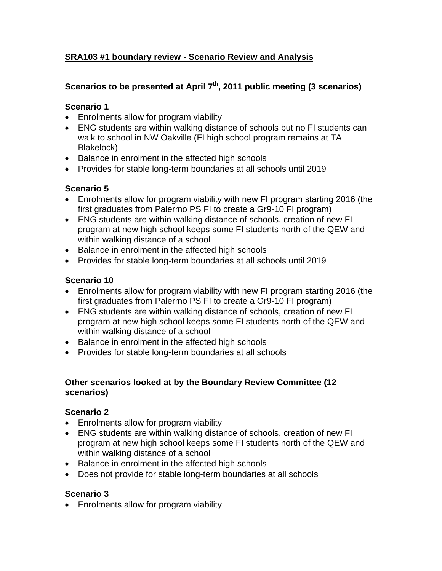## **SRA103 #1 boundary review - Scenario Review and Analysis**

### Scenarios to be presented at April 7<sup>th</sup>, 2011 public meeting (3 scenarios)

#### **Scenario 1**

- Enrolments allow for program viability
- ENG students are within walking distance of schools but no FI students can walk to school in NW Oakville (FI high school program remains at TA Blakelock)
- Balance in enrolment in the affected high schools
- Provides for stable long-term boundaries at all schools until 2019

## **Scenario 5**

- Enrolments allow for program viability with new FI program starting 2016 (the first graduates from Palermo PS FI to create a Gr9-10 FI program)
- ENG students are within walking distance of schools, creation of new FI program at new high school keeps some FI students north of the QEW and within walking distance of a school
- Balance in enrolment in the affected high schools
- Provides for stable long-term boundaries at all schools until 2019

### **Scenario 10**

- Enrolments allow for program viability with new FI program starting 2016 (the first graduates from Palermo PS FI to create a Gr9-10 FI program)
- ENG students are within walking distance of schools, creation of new FI program at new high school keeps some FI students north of the QEW and within walking distance of a school
- Balance in enrolment in the affected high schools
- Provides for stable long-term boundaries at all schools

### **Other scenarios looked at by the Boundary Review Committee (12 scenarios)**

### **Scenario 2**

- Enrolments allow for program viability
- ENG students are within walking distance of schools, creation of new FI program at new high school keeps some FI students north of the QEW and within walking distance of a school
- Balance in enrolment in the affected high schools
- Does not provide for stable long-term boundaries at all schools

## **Scenario 3**

• Enrolments allow for program viability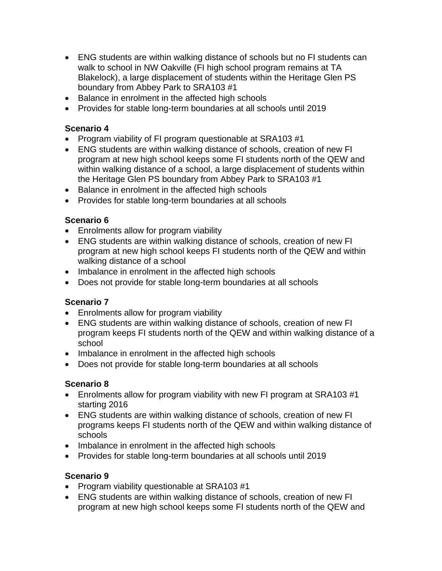- ENG students are within walking distance of schools but no FI students can walk to school in NW Oakville (FI high school program remains at TA Blakelock), a large displacement of students within the Heritage Glen PS boundary from Abbey Park to SRA103 #1
- Balance in enrolment in the affected high schools
- Provides for stable long-term boundaries at all schools until 2019

#### **Scenario 4**

- Program viability of FI program questionable at SRA103 #1
- ENG students are within walking distance of schools, creation of new FI program at new high school keeps some FI students north of the QEW and within walking distance of a school, a large displacement of students within the Heritage Glen PS boundary from Abbey Park to SRA103 #1
- Balance in enrolment in the affected high schools
- Provides for stable long-term boundaries at all schools

### **Scenario 6**

- Enrolments allow for program viability
- ENG students are within walking distance of schools, creation of new FI program at new high school keeps FI students north of the QEW and within walking distance of a school
- Imbalance in enrolment in the affected high schools
- Does not provide for stable long-term boundaries at all schools

### **Scenario 7**

- Enrolments allow for program viability
- ENG students are within walking distance of schools, creation of new FI program keeps FI students north of the QEW and within walking distance of a school
- Imbalance in enrolment in the affected high schools
- Does not provide for stable long-term boundaries at all schools

### **Scenario 8**

- Enrolments allow for program viability with new FI program at SRA103 #1 starting 2016
- ENG students are within walking distance of schools, creation of new FI programs keeps FI students north of the QEW and within walking distance of schools
- Imbalance in enrolment in the affected high schools
- Provides for stable long-term boundaries at all schools until 2019

### **Scenario 9**

- Program viability questionable at SRA103 #1
- ENG students are within walking distance of schools, creation of new FI program at new high school keeps some FI students north of the QEW and